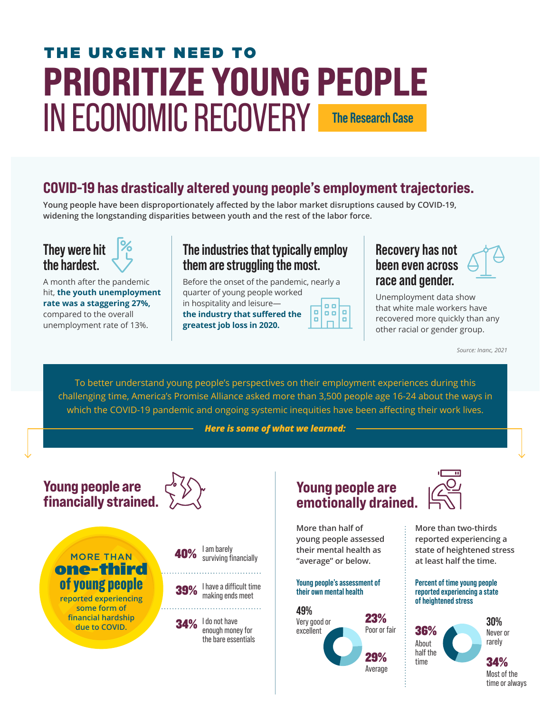# PRIORITIZE YOUNG PEOPLE IN ECONOMIC RECOVERY THE URGENT NEED TO **The Research Case**

# COVID-19 has drastically altered young people's employment trajectories.

**Young people have been disproportionately affected by the labor market disruptions caused by COVID-19, widening the longstanding disparities between youth and the rest of the labor force.**

# **They were hit the hardest.**

A month after the pandemic hit, **the youth unemployment rate was a staggering 27%,**  compared to the overall unemployment rate of 13%.

### **The industries that typically employ them are struggling the most.**

Before the onset of the pandemic, nearly a quarter of young people worked

in hospitality and leisure **the industry that suffered the greatest job loss in 2020.**

| 0 C<br>п.<br>ш<br>o |
|---------------------|
|---------------------|

### **Recovery has not been even across race and gender.**

Unemployment data show that white male workers have recovered more quickly than any other racial or gender group.

*Source: Inanc, 2021*

To better understand young people's perspectives on their employment experiences during this challenging time, America's Promise Alliance asked more than 3,500 people age 16-24 about the ways in which the COVID-19 pandemic and ongoing systemic inequities have been affecting their work lives.

*Here is some of what we learned:*

Young people are financially strained.



MORE THAN of young people one-third

**reported experiencing some form of financial hardship due to COVID.**



I am barely 40% surviving financially . . . . . . . . . . . . . . . . . .

I have a difficult time making ends meet 39%

. . . . . . . . . . . . . . . . .

 $34\%$   $\frac{1}{2}$  do not have enough money for the bare essentials



**More than half of young people assessed their mental health as "average" or below.**

#### **Young people's assessment of their own mental health**





**More than two-thirds reported experiencing a state of heightened stress at least half the time.**

#### **Percent of time young people reported experiencing a state of heightened stress**